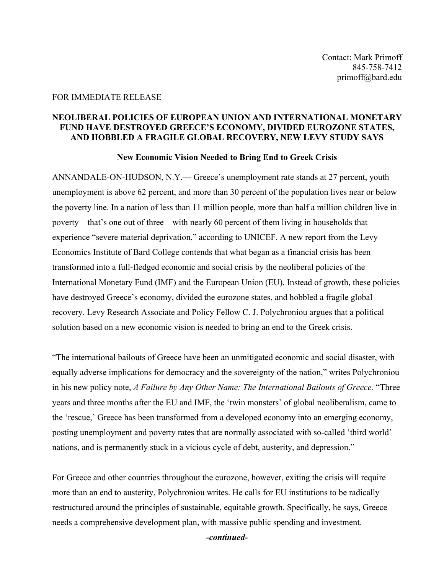## FOR IMMEDIATE RELEASE

## **NEOLIBERAL POLICIES OF EUROPEAN UNION AND INTERNATIONAL MONETARY FUND HAVE DESTROYED GREECE'S ECONOMY, DIVIDED EUROZONE STATES, AND HOBBLED A FRAGILE GLOBAL RECOVERY, NEW LEVY STUDY SAYS**

## **New Economic Vision Needed to Bring End to Greek Crisis**

ANNANDALE-ON-HUDSON, N.Y.— Greece's unemployment rate stands at 27 percent, youth unemployment is above 62 percent, and more than 30 percent of the population lives near or below the poverty line. In a nation of less than 11 million people, more than half a million children live in poverty—that's one out of three—with nearly 60 percent of them living in households that experience "severe material deprivation," according to UNICEF. A new report from the Levy Economics Institute of Bard College contends that what began as a financial crisis has been transformed into a full-fledged economic and social crisis by the neoliberal policies of the International Monetary Fund (IMF) and the European Union (EU). Instead of growth, these policies have destroyed Greece's economy, divided the eurozone states, and hobbled a fragile global recovery. Levy Research Associate and Policy Fellow C. J. Polychroniou argues that a political solution based on a new economic vision is needed to bring an end to the Greek crisis.

"The international bailouts of Greece have been an unmitigated economic and social disaster, with equally adverse implications for democracy and the sovereignty of the nation," writes Polychroniou in his new policy note, *A Failure by Any Other Name: The International Bailouts of Greece.* "Three years and three months after the EU and IMF, the 'twin monsters' of global neoliberalism, came to the 'rescue,' Greece has been transformed from a developed economy into an emerging economy, posting unemployment and poverty rates that are normally associated with so-called 'third world' nations, and is permanently stuck in a vicious cycle of debt, austerity, and depression."

For Greece and other countries throughout the eurozone, however, exiting the crisis will require more than an end to austerity, Polychroniou writes. He calls for EU institutions to be radically restructured around the principles of sustainable, equitable growth. Specifically, he says, Greece needs a comprehensive development plan, with massive public spending and investment.

*-continued-*